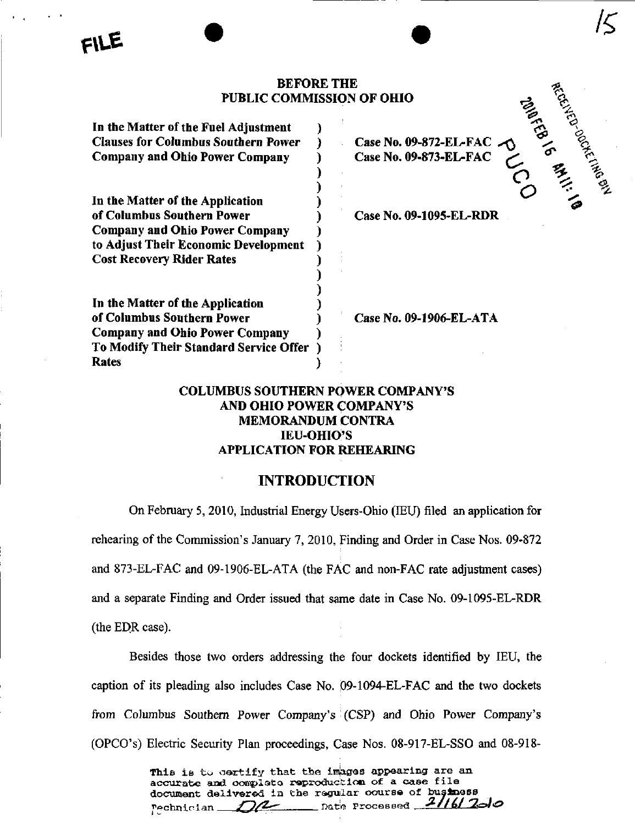#### BEFORE THE PUBLIC COMMISSION OF OHIO

| In the Matter of the Fuel Adjustment       |  |
|--------------------------------------------|--|
| <b>Clauses for Columbus Southern Power</b> |  |
| <b>Company and Ohio Power Company</b>      |  |
|                                            |  |
|                                            |  |
| In the Matter of the Application           |  |
| of Columbus Southern Power                 |  |
| <b>Company and Ohio Power Company</b>      |  |
| to Adjust Their Economic Development       |  |
| <b>Cost Recovery Rider Rates</b>           |  |
|                                            |  |
|                                            |  |
| In the Matter of the Application           |  |
| of Columbus Southern Power                 |  |
| <b>Company and Ohio Power Company</b>      |  |
| To Modify Their Standard Service Offer     |  |
| <b>Rates</b>                               |  |

Case No. 09-872-EL-FAC  $\bigcirc$ Case No. 09-873-EL-FAC  $\sim$   $\sqrt{2}$ 

%

 $\epsilon$ 

 $\mathcal{C}$ 

 $\mathcal{F}$ 

 $\overline{C}$ o

Case No, 09-1095-EL-RDR

Case No. 09-1906-EL-ATA

## COLUMBUS SOUTHERN POWER COMPANY'S AND OHIO POWER COMPANY'S MEMORANDUM CONTRA lEU-OHlO'S APPLICATION FOR REHEARING

# INTRODUCTION

On February 5, 2010, Industrial Energy Users-Ohio (lEU) filed an application for rehearing of the Commission's January 7, 2010, Finding and Order in Case Nos. 09-872 and 873-EL-FAC and 09-1906-EL-ATA (the FAC and non-FAC rate adjustment cases) and a separate Finding and Order issued that same date in Case No. 09-1095-EL-RDR (the EDR case).

Besides those two orders addressing the four dockets identified by lEU, the caption of its pleading also includes Case No. 09-1094-EL-FAC and the two dockets from Columbus Southern Power Company's (CSP) and Ohio Power Company's (OPCO's) Electric Security Plan proceedings, Case Nos. 08-917-EL-SSO and 08-918-

> This is to certify that the images appearing are an accurate and complete reproduction of a case file document delivered in the regular course of business Pechnician  $D2$  Date Processed  $21/6/2$ olo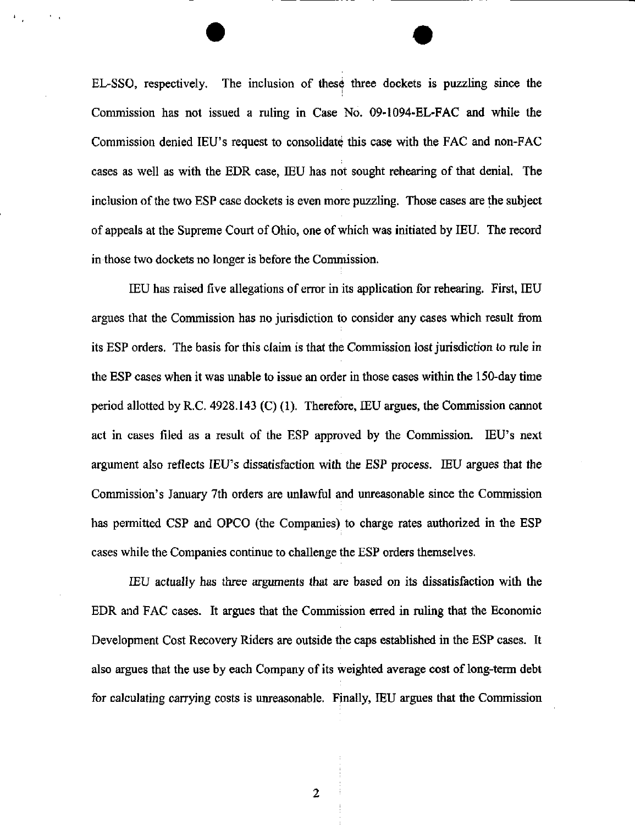EL-SSO, respectively. The inclusion of these three dockets is puzzling since the Commission has not issued a ruling in Case No. 09-1094-EL-FAC and while the Commission denied lEU's request to consolidate this case with the FAC and non-FAC cases as well as with the EDR case, lEU has not sought rehearing of that denial. The inclusion of the two ESP case dockets is even more puzzling. Those cases are the subject of appeals at the Supreme Court of Ohio, one of which was initiated by IEU. The record in those two dockets no longer is before the Commission.

lEU has raised five allegations of error in its application for rehearing. First, EEU argues that the Commission has no jurisdiction to consider any cases which result from its ESP orders. The basis for this claim is that the Commission lost jurisdiction to rule in the ESP cases when it was unable to issue an order in those cases within the 150-day time period allotted by R.C. 4928.143 (C) (1). Therefore, lEU argues, the Commission cannot act in cases filed as a result of the ESP approved by the Commission. lEU's next argument also reflects lEU's dissatisfaction with the ESP process. lEU argues that the Commission's January 7th orders are unlawful and unreasonable since the Commission has permitted CSP and OPCO (the Companies) to charge rates authorized in the ESP cases while the Companies continue to challenge the ESP orders themselves.

lEU actually has three arguments that are based on its dissatisfaction with the EDR and FAC cases. It argues that the Commission erred in ruling that the Economic Development Cost Recovery Riders are outside the caps established in the ESP cases. It also argues that the use by each Company of its weighted average cost of long-term debt for calculating carrying costs is unreasonable. Finally, lEU argues that the Commission

 $\overline{2}$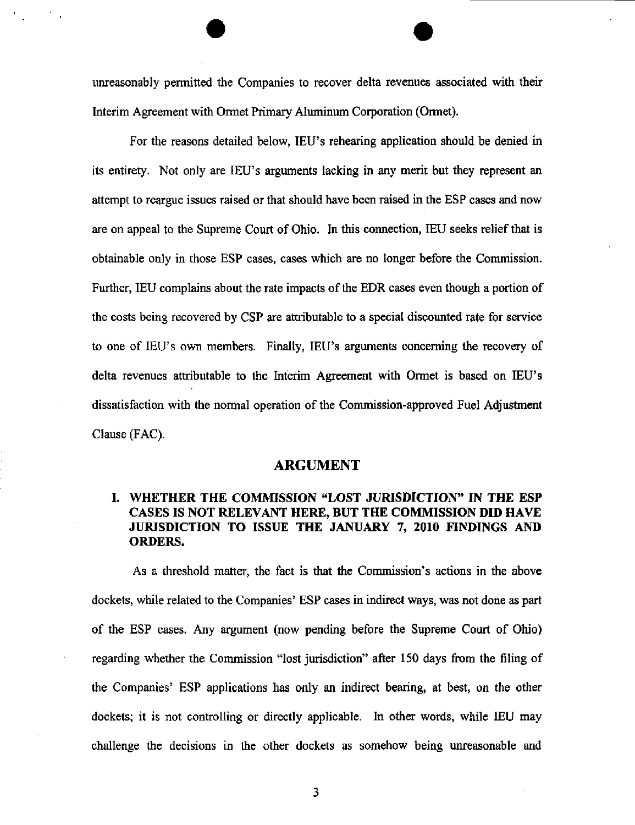unreasonably permitted the Companies to recover delta revenues associated with their Interim Agreement with Ormet Primary Aluminum Corporation (Ormet).

For the reasons detailed below, lEU's rehearing application should be denied in its entirety. Not only are lEU's arguments lacking in any merit but they represent an attempt to reargue issues raised or that should have been raised in the ESP cases and now are on appeal to the Supreme Court of Ohio, In this connection, lEU seeks relief that is obtainable only in those ESP cases, cases which are no longer before the Commission. Further, IEU complains about the rate impacts of the EDR cases even though a portion of the costs being recovered by CSP are attributable to a special discounted rate for service to one of lEU's own members. Finally, lEU's arguments conceming the recovery of delta revenues attributable to the Interim Agreement with Ormet is based on lEU's dissatisfaction with the normal operation of the Commission-approved Fuel Adjustment Clause (FAC).

#### ARGUMENT

## I. WHETHER THE COMMISSION "LOST JURISDICTION" IN THE ESP CASES IS NOT RELEVANT HERE, BUT THE COMMISSION DID HAVE JURISDICTION TO ISSUE THE JANUARY 7, 2010 FINDINGS AND ORDERS.

As a threshold matter, the fact is that the Commission's actions in the above dockets, while related to the Companies' ESP cases in indirect ways, was not done as part of the ESP cases. Any argument (now pending before the Supreme Court of Ohio) regarding whether the Commission "lost jurisdiction" after 150 days from the filing of the Companies' ESP applications has only an indirect bearing, at best, on the other dockets; it is not controlling or directly applicable. In other words, while lEU may challenge the decisions in the other dockets as somehow being unreasonable and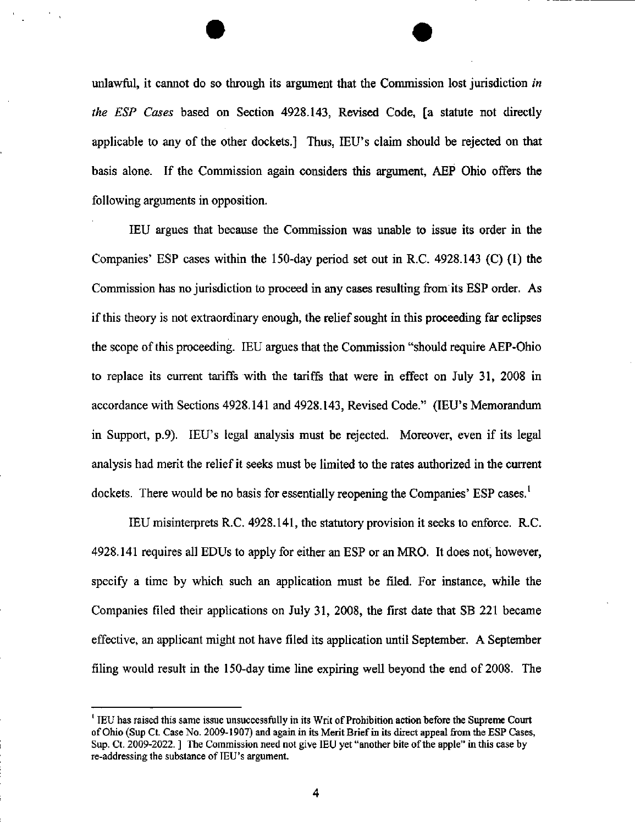unlawful, it cannot do so through its argument that the Commission lost jurisdiction in the ESP Cases based on Section 4928.143, Revised Code, [a statute not directly applicable to any of the other dockets.] Thus, IEU's claim should be rejected on that basis alone. If the Commission again considers this argument, AEP Ohio offers the following arguments in opposition.

lEU argues that because the Commission was unable to issue its order in the Companies' ESP cases within the 150-day period set out in R.C. 4928.143 (C) (1) the Commission has no jurisdiction to proceed in any cases resulting from its ESP order. As if this theory is not extraordinary enough, the relief sought in this proceeding far eclipses the scope of this proceeding. lEU argues that the Commission "should require AEP-Ohio to replace its current tariffs with the tariffs that were in effect on July 31, 2008 in accordance with Sections 4928,141 and 4928.143, Revised Code." (lEU's Memorandum in Support, p.9). lEU's legal analysis must be rejected. Moreover, even if its legal analysis had merit the relief it seeks must be limited to the rates authorized in the current dockets. There would be no basis for essentially reopening the Companies' ESP cases.<sup>1</sup>

lEU misinterprets R.C. 4928.141, the statutory provision it seeks to enforce. R.C. 4928.141 requires all EDUs to apply for either an ESP or an MRO. It does not, however, specify a time by which such an application must be filed. For instance, while the Companies filed their applications on July 31, 2008, the first date that SB 221 became effective, an applicant might not have filed its apphcation until September. A September filing would result in the 150-day time line expiring well beyond the end of 2008. The

<sup>&#</sup>x27; lEU has raised this same issue unsuccessfully in its Writ of Prohibition action before the Supreme Court of Ohio (Sup Ct Case No. 2009-1907) and again in its Merit Brief in its direct appeal from the ESP Cases, Sup. Ct. 2009-2022. ] The Commission need not give IEU yet "another bite of the apple" in this case by re-addressing the substance of lEU's argument.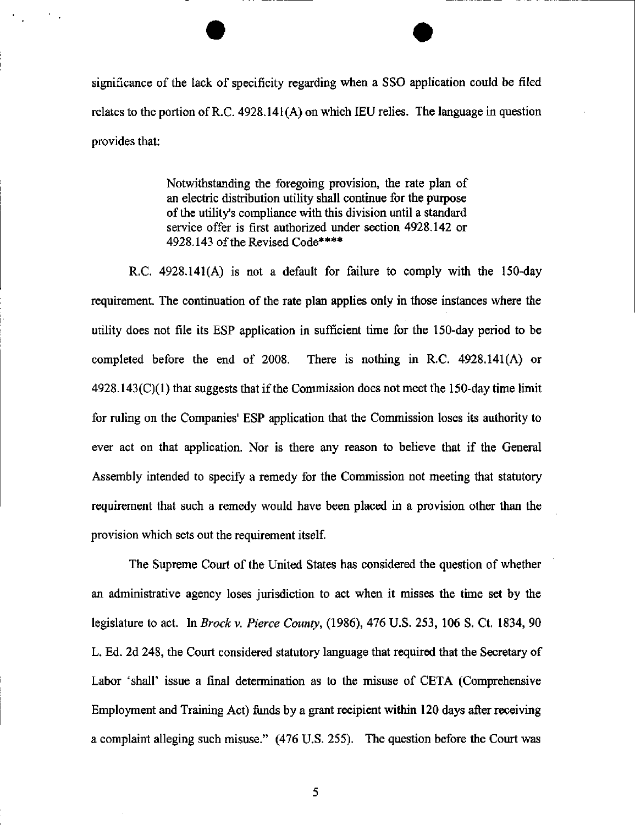significance of the lack of specificity regarding when a SSO application could be filed relates to the portion of R.C. 4928.141(A) on which lEU relies. The language in question provides that:

> Notwithstanding the foregoing provision, the rate plan of an electric distribution utility shall continue for the purpose of the utility's compliance with this division until a standard service offer is first authorized under section 4928.142 or 4928.143 of the Revised Code\*\*\*\*

R.C, 4928.141(A) is not a default for failure to comply with the 150-day requirement. The continuation of the rate plan applies only in those instances where the utility does not file its ESP application in sufficient time for the 150-day period to be completed before the end of 2008. There is nothing in R.C. 4928.141(A) or 4928.143(C)(1) that suggests that if the Commission does not meet the 150-day time limit for ruling on the Companies' ESP application that the Commission loses its authority to ever act on that application. Nor is there any reason to believe that if the General Assembly intended to specify a remedy for the Commission not meeting that statutory requirement that such a remedy would have been placed in a provision other than the provision which sets out the requirement itself

The Supreme Court of the United States has considered the question of whether an administrative agency loses jurisdiction to act when it misses the tune set by the legislature to act. In Brock v. Pierce County, (1986), 476 U.S. 253, 106 S. Ct. 1834, 90 L. Ed. 2d 248, the Court considered statutory language that required that the Secretary of Labor 'shall' issue a final determination as to the misuse of CETA (Comprehensive Employment and Training Act) funds by a grant recipient within 120 days after receiving a complaint alleging such misuse." (476 U.S. 255). The question before the Court was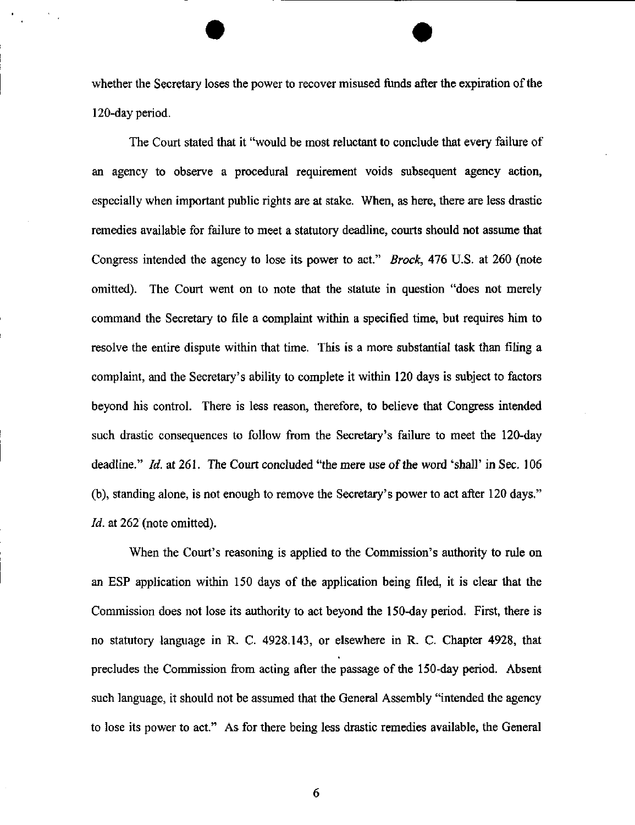whether the Secretary loses the power to recover misused funds after the expiration of the 120-day period.

The Court stated that it "would be most reluctant to conclude that every failure of an agency to observe a procedural requirement voids subsequent agency action, especially when important public rights are at stake. When, as here, there are less drastic remedies available for failure to meet a statutory deadline, courts should not assume that Congress intended the agency to lose its power to act." Brock, 476 U.S. at 260 (note omitted). The Court went on to note that the statute in question "does not merely command the Secretary to file a complaint within a specified time, but requires him to resolve the entire dispute within that time. This is a more substantial task than filing a complaint, and the Secretary's ability to complete it within 120 days is subject to factors beyond his control. There is less reason, therefore, to believe that Congress intended such drastic consequences to follow from the Secretary's failure to meet the 120-day deadline." Id. at 261. The Court concluded "the mere use of the word 'shall' in Sec. 106 (b), standing alone, is not enough to remove the Secretary's power to act after 120 days." Id. at 262 (note omitted).

When the Court's reasoning is applied to the Commission's authority to rule on an ESP application within 150 days of the application being filed, it is clear that the Commission does not lose its authority to act beyond the 150-day period. First, there is no statutory language in R. C. 4928.143, or elsewhere in R. C. Chapter 4928, that precludes the Commission from acting after the passage of the 150-day period. Absent such language, it should not be assumed that the General Assembly "intended the agency to lose its power to act." As for there being less drastic remedies available, the General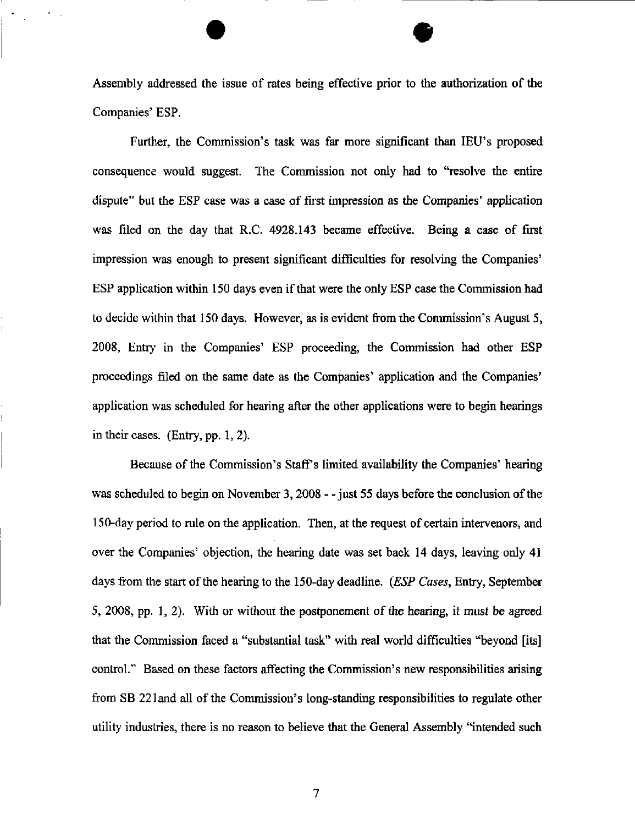Assembly addressed the issue of rates being effective prior to the authorization of the Companies' ESP.

Further, the Commission's task was far more significant than lEU's proposed consequence would suggest. The Commission not only had to "resolve the entire dispute" but the ESP case was a case of first impression as the Companies' application was filed on the day that R.C. 4928.143 became effective. Being a case of first impression was enough to present significant difficulties for resolving the Companies' ESP application within 150 days even if that were the only ESP case the Commission had to decide within that 150 days. However, as is evident from the Commission's August 5, 2008, Entry in the Companies' ESP proceeding, the Commission had other ESP proceedings filed on the same date as the Companies' application and the Companies' application was scheduled for hearing after the other applications were to begin hearings in their cases. (Entry, pp. 1,2),

Because of the Commission's Staff's limited availability the Companies' hearing was scheduled to begin on November 3, 2008 - - just 55 days before the conclusion of the 150-day period to rule on the application. Then, at the request of certain intervenors, and over the Companies' objection, the hearing date was set back 14 days, leaving only 41 days from the start of the hearing to the 150-day deadline. (ESP Cases, Entry, September 5, 2008, pp. 1, 2). With or without the postponement of the hearing, it must be agreed that the Commission faced a "substantial task" with real world difficulties "beyond [its] control." Based on these factors affecting the Commission's new responsibilities arising from SB 221and all of the Commission's long-standing responsibilities to regulate other utility industries, there is no reason to believe that the General Assembly "intended such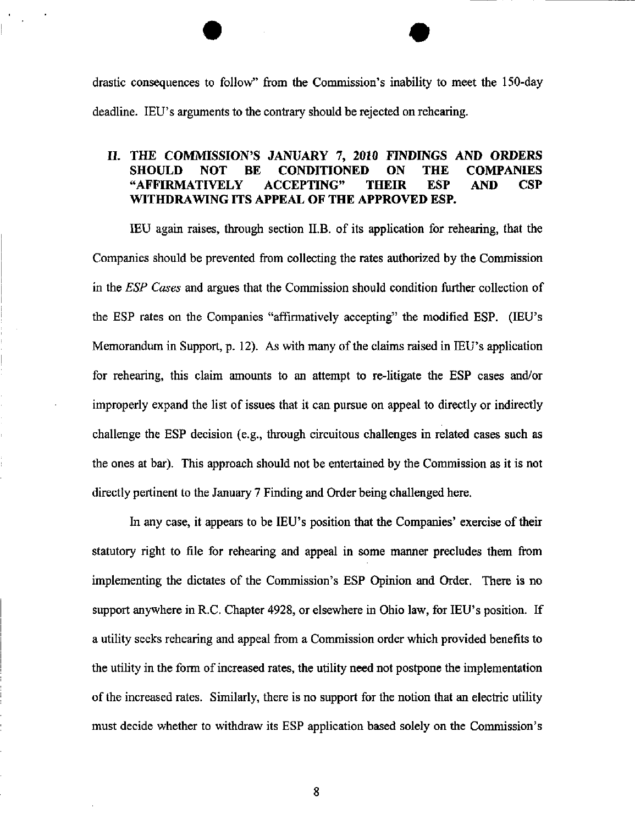drastic consequences to follow" firom the Commission's inability to meet the 150-day deadline. lEU's arguments to the contrary should be rejected on rehearing.

#### IL THE COMMISSION'S JANUARY 7, 2010 FINDINGS AND ORDERS SHOULD NOT BE CONDITIONED ON THE COMPANIES "AFFIRMATIVELY ACCEPTING" THEIR ESP AND CSP WITHDRAWING ITS APPEAL OF THE APPROVED ESP.

lEU again raises, through section II.B. of its application for rehearing, that the Companies should be prevented from collecting the rates authorized by the Commission in the ESP Cases and argues that the Commission should condition further collection of the ESP rates on the Companies "affirmatively accepting" the modified ESP. (lEU's Memorandum in Support, p. 12). As with many of the claims raised in IEU's application for rehearing, this claim amounts to an attempt to re-litigate the ESP cases and/or improperly expand the list of issues that it can pursue on appeal to directly or indirectly challenge the ESP decision (e.g., through circuitous challenges in related cases such as the ones at bar). This approach should not be entertained by the Commission as it is not directly pertinent to the January 7 Finding and Order being challenged here.

In any case, it appears to be lEU's position that the Companies' exercise of their statutory right to file for rehearing and appeal in some manner precludes them from implementing the dictates of the Commission's ESP Opinion and Order. There is no support anywhere in R.C. Chapter 4928, or elsewhere in Ohio law, for lEU's position. If a utility seeks rehearing and appeal from a Commission order which provided benefits to the utility in the form of increased rates, the utility need not postpone the implementation ofthe increased rates. Similarly, there is no support for the notion that an electric utility must decide whether to withdraw its ESP application based solely on the Commission's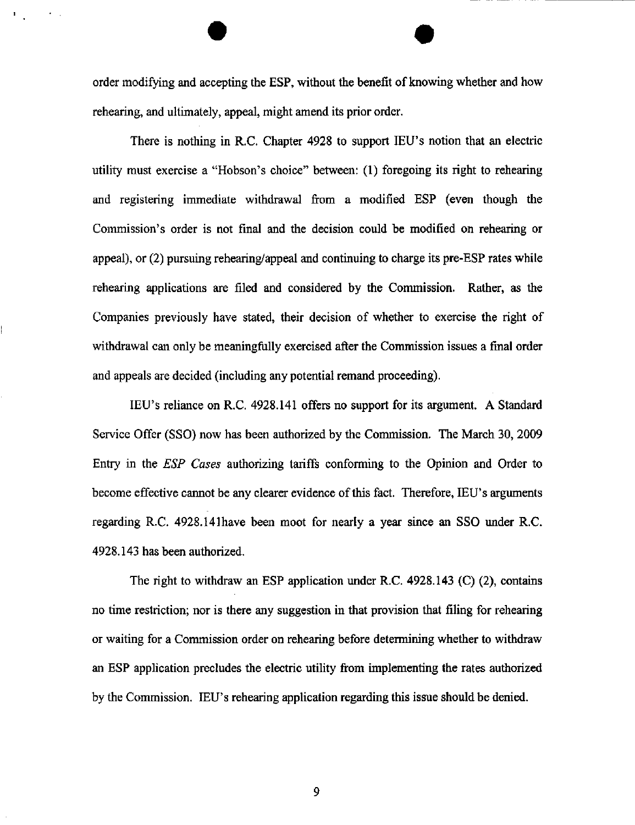order modifying and accepting the ESP, without the benefit of knowing whether and how rehearing, and ultimately, appeal, might amend its prior order.

There is nothing in R.C. Chapter 4928 to support lEU's notion that an electric utility must exercise a "Hobson's choice" between: (1) foregoing its right to rehearing and registering immediate withdrawal from a modified ESP (even though the Commission's order is not final and the decision could be modified on rehearing or appeal), or (2) pursuing rehearing/appeal and continuing to charge its pre-ESP rates while rehearing applications are filed and considered by the Commission. Rather, as the Companies previously have stated, their decision of whether to exercise the right of withdrawal can only be meaningfully exercised after the Commission issues a fmal order and appeals are decided (including any potential remand proceeding).

lEU's reliance on R.C. 4928.141 offers no support for its argiunent. A Standard Service Offer (SSO) now has been authorized by the Commission. The March 30, 2009 Entry in the ESP Cases authorizing tariffs conforming to the Opinion and Order to become effective cannot be any clearer evidence of this fact. Therefore, IEU's arguments regarding R.C. 4928.141have been moot for nearly a year since an SSO under R.C. 4928.143 has been authorized.

The right to withdraw an ESP application under R.C. 4928.143 (C) (2), contains no time restriction; nor is there any suggestion in that provision that filing for rehearing or waiting for a Commission order on rehearing before determining whether to withdraw an ESP application precludes the electric utility from implementing the rates authorized by the Commission. lEU's rehearing application regarding this issue should be denied.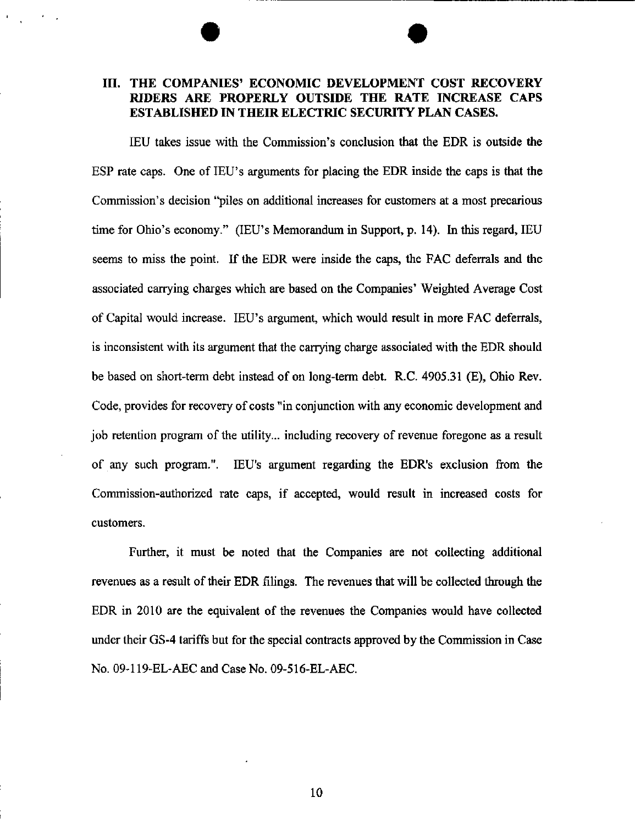### III. THE COMPANIES' ECONOMIC DEVELOPMENT COST RECOVERY RIDERS ARE PROPERLY OUTSIDE THE RATE INCREASE CAPS ESTABLISHED IN THEIR ELECTRIC SECURITY PLAN CASES.

lEU takes issue with the Commission's conclusion that the EDR is outside the ESP rate caps. One of lEU's arguments for placing the EDR inside the caps is that the Commission's decision "piles on additional increases for customers at a most precarious time for Ohio's economy." (lEU's Memorandum in Support, p. 14). In this regard, lEU seems to miss the point. If the EDR were inside the caps, the FAC deferrals and the associated carrying charges which are based on the Companies' Weighted Average Cost of Capital would increase. lEU's argument, which would result in more FAC deferrals, is inconsistent with its argument that the carrying charge associated with the EDR should be based on short-term debt instead of on long-term debt. R.C. 4905.31 (E), Ohio Rev. Code, provides for recovery of costs "in conjimction with any economic development and job retention program of the utility... including recovery of revenue foregone as a result of any such program.". lEU's argument regarding the EDR's exclusion from the Commission-authorized rate caps, if accepted, would result in increased costs for customers.

Further, it must be noted that the Companies are not collecting additional revenues as a result of their EDR filings. The revenues that will be collected through the EDR in 2010 are the equivalent of the revenues the Companies would have collected under their GS-4 tariffs but for the special contracts approved by the Commission in Case No. 09-119-EL-AEC and Case No. 09-516-EL-AEC.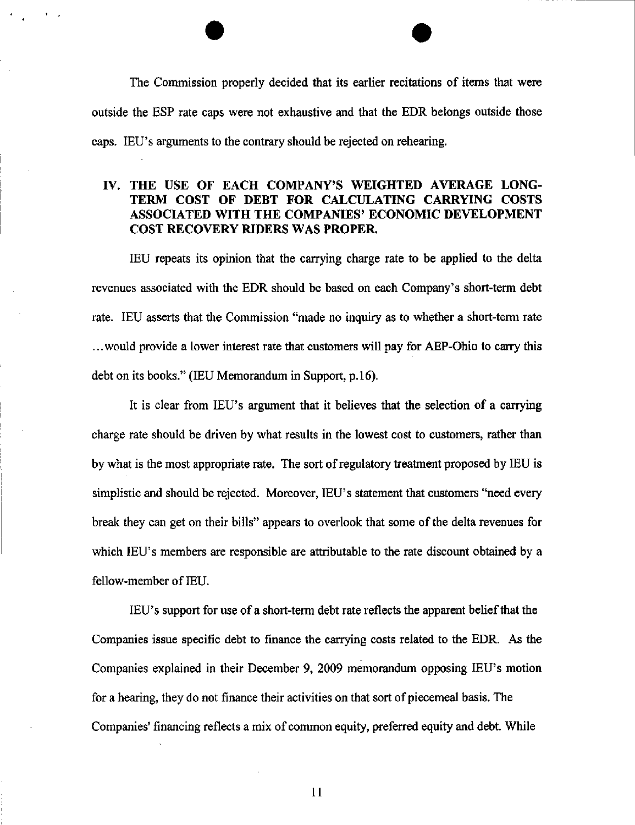The Commission properly decided that its earlier recitations of items that were outside the ESP rate caps were not exhaustive and that the EDR belongs outside those caps. lEU's arguments to the contrary should be rejected on rehearing.

#### IV. THE USE OF EACH COMPANY'S WEIGHTED AVERAGE LONG-TERM COST OF DEBT FOR CALCULATING CARRYING COSTS ASSOCIATED WITH THE COMPANIES' ECONOMIC DEVELOPMENT COST RECOVERY RIDERS WAS PROPER.

IEU repeats its opinion that the carrying charge rate to be applied to the delta revenues associated with the EDR should be based on each Company's short-term debt rate. lEU asserts that the Commission "made no inquiry as to whether a short-term rate ...would provide a lower interest rate that customers will pay for AEP-Ohio to carry this debt on its books." (IEU Memorandum in Support, p.16).

It is clear from lEU's argument that it believes that the selection of a carrying charge rate should be driven by what results in the lowest cost to customers, rather than by what is the most appropriate rate. The sort of regulatory treatment proposed by lEU is simplistic and should be rejected. Moreover, lEU's statement that customers "need every break they can get on their bills" appears to overlook that some of the delta revenues for which IEU's members are responsible are attributable to the rate discount obtained by a fellow-member of lEU.

lEU's support for use of a short-term debt rate reflects the apparent belief that the Companies issue specific debt to finance the carrying costs related to the EDR. As the Companies explained in their December 9, 2009 memorandum opposing lEU's motion for a hearing, they do not finance their activities on that sort of piecemeal basis. The Companies' financing reflects a mix of common equity, preferred equity and debt. While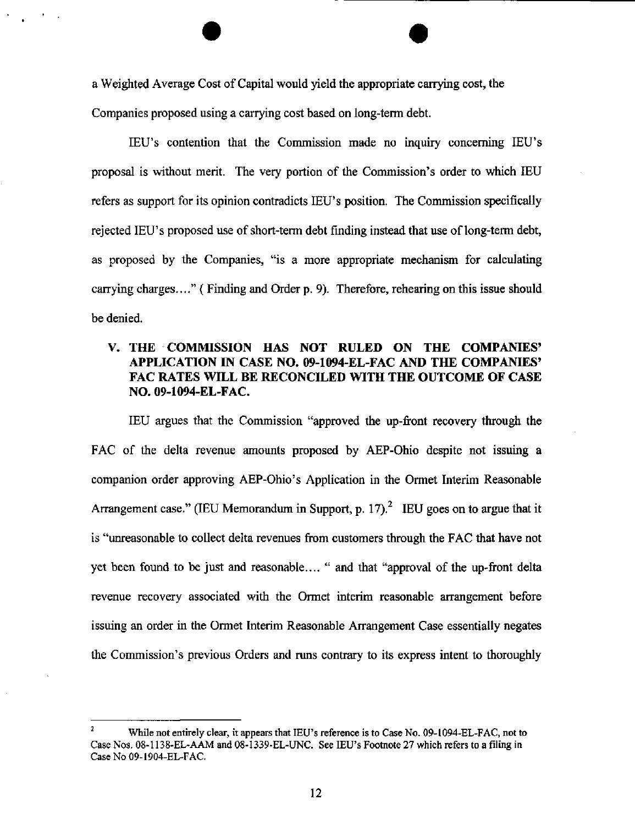a Weighted Average Cost of Capital would yield the appropriate carrying cost, the Companies proposed using a carrying cost based on long-term debt.

lEU's contention that the Commission made no inquiry conceming lEU's proposal is without merit. The very portion of the Commission's order to which IEU refers as support for its opinion contradicts lEU's position. The Commission specifically rejected lEU's proposed use of short-term debt finding instead that use of long-term debt, as proposed by the Companies, "is a more appropriate mechanism for calculating carrying charges...," (Finding and Order p. 9). Therefore, rehearing on this issue should be denied.

#### V. THE COMMISSION HAS NOT RULED ON THE COMPANIES' APPLICATION IN CASE NO. 09-1094-EL-FAC AND THE COMPANIES' FAC RATES WILL BE RECONCILED WITH THE OUTCOME OF CASE NO. 09-1094-EL-FAC.

lEU argues that the Commission "approved the up-front recovery through the FAC of the delta revenue amounts proposed by AEP-Ohio despite not issuing a companion order approving AEP-Ohio's Application in the Ormet Interim Reasonable Arrangement case." (IEU Memorandum in Support, p. 17).<sup>2</sup> IEU goes on to argue that it is "unreasonable to collect delta revenues from customers through the FAC that have not yet been found to be just and reasonable.... " and that "approval of the up-front delta revenue recovery associated with the Ormet interim reasonable arrangement before issuing an order in the Ormet Interim Reasonable Arrangement Case essentially negates the Commission's previous Orders and runs contrary to its express intent to thoroughly

While not entirely clear, it appears that IEU's reference is to Case No. 09-1094-EL-FAC, not to Case Nos. 08-1138-EL-AAM and 08-1339-EL-UNC. See lEU's Footnote 27 which refers to a filing in Case No 09-1904-EL-FAC.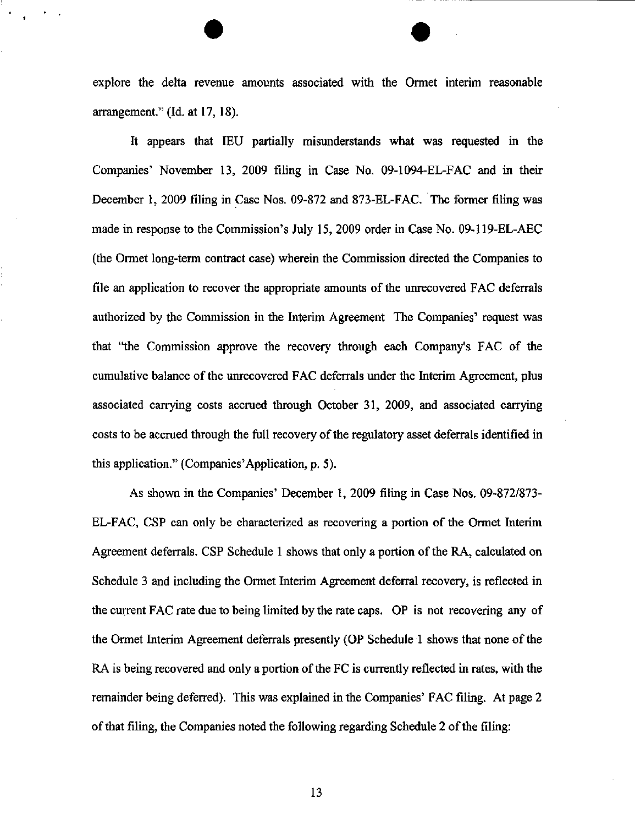explore the delta revenue amounts associated with the Ormet interim reasonable arrangement." (Id. at 17, 18).

It appears that lEU partially misimderstands what was requested in the Companies' November 13, 2009 fihng in Case No. 09-1094-EL-FAC and in their December 1, 2009 filing in Case Nos. 09-872 and 873-EL-FAC. The former filing was made in response to the Commission's July 15, 2009 order in Case No. 09-119-EL-AEC (the Ormet long-term contract case) wherein the Commission directed the Companies to file an application to recover the appropriate amounts of the unrecovered FAC deferrals authorized by the Commission in the Interim Agreement The Companies' request was that "the Commission approve the recovery through each Company's FAC of the cumulative balance of the unrecovered FAC deferrals under the Interim Agreement, plus associated carrying costs accrued through October 31, 2009, and associated carrying costs to be accrued through the full recovery of the regulatory asset deferrals identified in this application." (Companies'Application, p. 5).

As shown in the Companies' December 1, 2009 filing in Case Nos. 09-872/873- EL-FAC, CSP can only be characterized as recovering a portion of the Ormet Interim Agreement deferrals. CSP Schedule 1 shows that only a portion of the RA, calculated on Schedule 3 and including the Ormet Interim Agreement deferral recovery, is reflected in the current FAC rate due to being limited by the rate caps. OP is not recovering any of the Ormet Interim Agreement deferrals presently (OP Schedule 1 shows that none of the RA is being recovered and only a portion of the FC is currently reflected in rates, with the remainder being deferred). This was explained in the Companies' FAC filing. At page 2 of that filing, the Companies noted the following regarding Schedule 2 ofthe filing: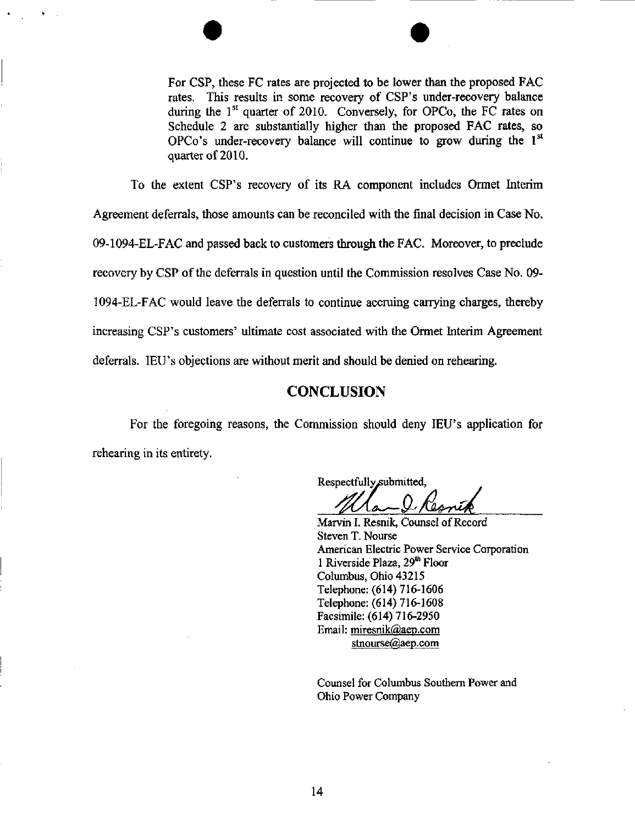

To the extent CSP's recovery of its RA component includes Ormet Interim Agreement deferrals, those amounts can be reconciled with the final decision in Case No. 09-1094-EL-FAC and passed back to customers through the FAC. Moreover, to preclude recovery by CSP of the deferrals in question until the Commission resolves Case No. 09- 1094-EL-FAC would leave the deferrals to continue accruing carrying charges, thereby increasing CSP's customers' ultimate cost associated with the Ormet Interim Agreement deferrals. lEU's objections are without merit and should be denied on rehearing,

## **CONCLUSION**

For the foregoing reasons, the Commission should deny IEU's application for rehearing in its entirety.

Respectfully submitted,

Marvin I. Resnik, Counsel of Record Steven T. Nourse American Electric Power Service Corporation 1 Riverside Plaza, 29<sup>th</sup> Floor Columbus, Ohio 43215 Telephone: (614) 716-1606 Telephone: (614) 716-1608 Facsimile: (614) 716-2950 Email: miresnik@aep.com [stnourse@aep.com](mailto:stnourse@aep.com) 

Counsel for Columbus Southern Power and Ohio Power Company